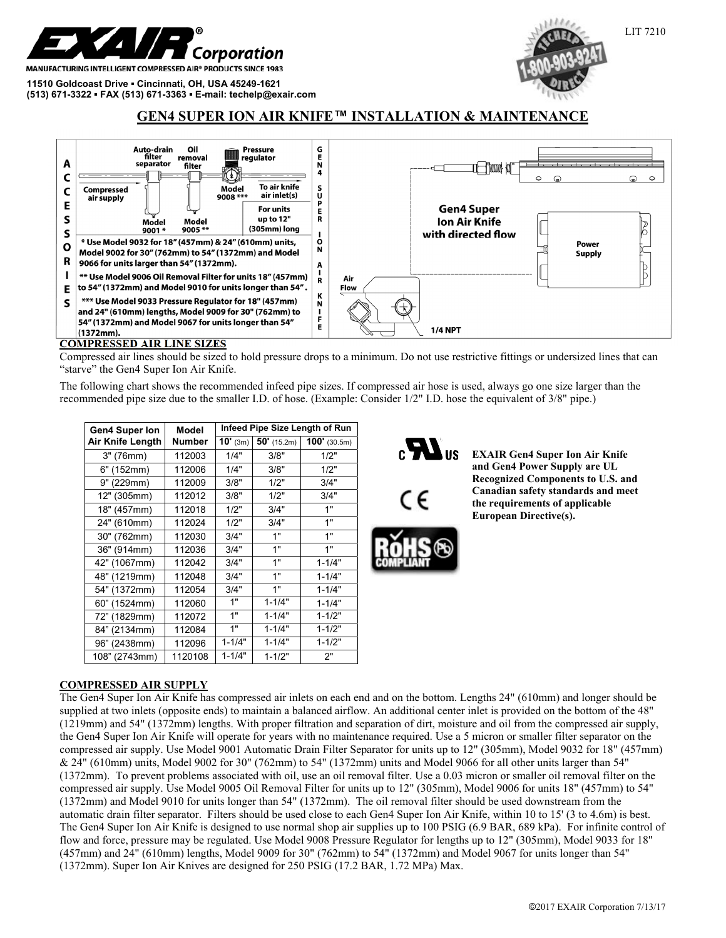

MANUFACTURING INTELLIGENT COMPRESSED AIR® PRODUCTS SINCE 1983

**11510 Goldcoast Drive ▪ Cincinnati, OH, USA 45249-1621 (513) 671-3322 ▪ FAX (513) 671-3363 ▪ E-mail: techelp@exair.com** 



# **GEN4 SUPER ION AIR KNIFE™ INSTALLATION & MAIN**



#### **COMPRESSED AIR LINE SIZES**

Compressed air lines should be sized to hold pressure drops to a minimum. Do not use restrictive fittings or undersized lines that can "starve" the Gen4 Super Ion Air Knife.

The following chart shows the recommended infeed pipe sizes. If compressed air hose is used, always go one size larger than the recommended pipe size due to the smaller I.D. of hose. (Example: Consider 1/2" I.D. hose the equivalent of 3/8" pipe.)

| <b>Gen4 Super Ion</b> | Model         | Infeed Pipe Size Length of Run |               |                |
|-----------------------|---------------|--------------------------------|---------------|----------------|
| Air Knife Length      | <b>Number</b> | $10'$ (3m)                     | $50'$ (15.2m) | $100'$ (30.5m) |
| 3" (76mm)             | 112003        | 1/4"                           | 3/8"          | 1/2"           |
| 6" (152mm)            | 112006        | 1/4"                           | 3/8"          | 1/2"           |
| 9" (229mm)            | 112009        | 3/8"                           | 1/2"          | 3/4"           |
| 12" (305mm)           | 112012        | 3/8"                           | 1/2"          | 3/4"           |
| 18" (457mm)           | 112018        | 1/2"                           | 3/4"          | 1"             |
| 24" (610mm)           | 112024        | 1/2"                           | 3/4"          | 1"             |
| 30" (762mm)           | 112030        | 3/4"                           | 1"            | 1"             |
| 36" (914mm)           | 112036        | 3/4"                           | 1"            | 1"             |
| 42" (1067mm)          | 112042        | 3/4"                           | 1"            | $1 - 1/4"$     |
| 48" (1219mm)          | 112048        | 3/4"                           | 1"            | $1 - 1/4"$     |
| 54" (1372mm)          | 112054        | 3/4"                           | 1"            | $1 - 1/4"$     |
| 60" (1524mm)          | 112060        | 1"                             | $1 - 1/4"$    | $1 - 1/4"$     |
| 72" (1829mm)          | 112072        | 1"                             | $1 - 1/4"$    | $1 - 1/2"$     |
| 84" (2134mm)          | 112084        | 1"                             | $1 - 1/4"$    | $1 - 1/2"$     |
| 96" (2438mm)          | 112096        | $1 - 1/4"$                     | $1 - 1/4"$    | $1 - 1/2"$     |
| 108" (2743mm)         | 1120108       | $1 - 1/4"$                     | $1 - 1/2"$    | 2"             |



**EXAIR Gen4 Super Ion Air Knife and Gen4 Power Supply are UL Recognized Components to U.S. and Canadian safety standards and meet the requirements of applicable European Directive(s).**

## **COMPRESSED AIR SUPPLY**

The Gen4 Super Ion Air Knife has compressed air inlets on each end and on the bottom. Lengths 24" (610mm) and longer should be supplied at two inlets (opposite ends) to maintain a balanced airflow. An additional center inlet is provided on the bottom of the 48" (1219mm) and 54" (1372mm) lengths. With proper filtration and separation of dirt, moisture and oil from the compressed air supply, the Gen4 Super Ion Air Knife will operate for years with no maintenance required. Use a 5 micron or smaller filter separator on the compressed air supply. Use Model 9001 Automatic Drain Filter Separator for units up to 12" (305mm), Model 9032 for 18" (457mm) & 24" (610mm) units, Model 9002 for 30" (762mm) to 54" (1372mm) units and Model 9066 for all other units larger than 54" (1372mm). To prevent problems associated with oil, use an oil removal filter. Use a 0.03 micron or smaller oil removal filter on the compressed air supply. Use Model 9005 Oil Removal Filter for units up to 12" (305mm), Model 9006 for units 18" (457mm) to 54" (1372mm) and Model 9010 for units longer than 54" (1372mm). The oil removal filter should be used downstream from the automatic drain filter separator. Filters should be used close to each Gen4 Super Ion Air Knife, within 10 to 15' (3 to 4.6m) is best. The Gen4 Super Ion Air Knife is designed to use normal shop air supplies up to 100 PSIG (6.9 BAR, 689 kPa). For infinite control of flow and force, pressure may be regulated. Use Model 9008 Pressure Regulator for lengths up to 12" (305mm), Model 9033 for 18" (457mm) and 24" (610mm) lengths, Model 9009 for 30" (762mm) to 54" (1372mm) and Model 9067 for units longer than 54" (1372mm). Super Ion Air Knives are designed for 250 PSIG (17.2 BAR, 1.72 MPa) Max.